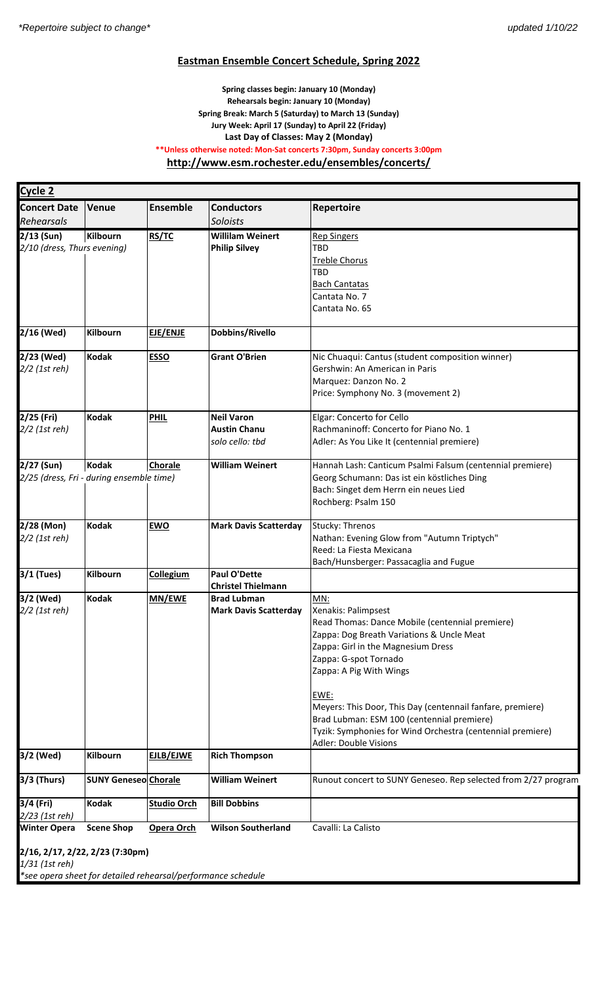### **Eastman Ensemble Concert Schedule, Spring 2022**

### **Spring classes begin: January 10 (Monday) Rehearsals begin: January 10 (Monday) Spring Break: March 5 (Saturday) to March 13 (Sunday) Jury Week: April 17 (Sunday) to April 22 (Friday) Last Day of Classes: May 2 (Monday) \*\*Unless otherwise noted: Mon-Sat concerts 7:30pm, Sunday concerts 3:00pm http://www.esm.rochester.edu/ensembles/concerts/**

| Cycle 2                                                                                                           |                                   |                                  |                                                             |                                                                                                                                                                                                                                                                                                                                                                                                                                 |  |  |
|-------------------------------------------------------------------------------------------------------------------|-----------------------------------|----------------------------------|-------------------------------------------------------------|---------------------------------------------------------------------------------------------------------------------------------------------------------------------------------------------------------------------------------------------------------------------------------------------------------------------------------------------------------------------------------------------------------------------------------|--|--|
| <b>Concert Date</b>                                                                                               | <b>Venue</b>                      | <b>Ensemble</b>                  | <b>Conductors</b>                                           | Repertoire                                                                                                                                                                                                                                                                                                                                                                                                                      |  |  |
| Rehearsals                                                                                                        |                                   |                                  | Soloists                                                    |                                                                                                                                                                                                                                                                                                                                                                                                                                 |  |  |
| $2/13$ (Sun)<br>2/10 (dress, Thurs evening)                                                                       | Kilbourn                          | RS/TC                            | <b>Willilam Weinert</b><br><b>Philip Silvey</b>             | <b>Rep Singers</b><br>TBD<br><b>Treble Chorus</b><br><b>TBD</b><br><b>Bach Cantatas</b><br>Cantata No. 7<br>Cantata No. 65                                                                                                                                                                                                                                                                                                      |  |  |
| 2/16 (Wed)                                                                                                        | Kilbourn                          | EJE/ENJE                         | Dobbins/Rivello                                             |                                                                                                                                                                                                                                                                                                                                                                                                                                 |  |  |
| 2/23 (Wed)<br>2/2 (1st reh)                                                                                       | <b>Kodak</b>                      | <b>ESSO</b>                      | <b>Grant O'Brien</b>                                        | Nic Chuaqui: Cantus (student composition winner)<br>Gershwin: An American in Paris<br>Marquez: Danzon No. 2<br>Price: Symphony No. 3 (movement 2)                                                                                                                                                                                                                                                                               |  |  |
| 2/25 (Fri)<br>2/2 (1st reh)                                                                                       | <b>Kodak</b>                      | <b>PHIL</b>                      | <b>Neil Varon</b><br><b>Austin Chanu</b><br>solo cello: tbd | Elgar: Concerto for Cello<br>Rachmaninoff: Concerto for Piano No. 1<br>Adler: As You Like It (centennial premiere)                                                                                                                                                                                                                                                                                                              |  |  |
| 2/27 (Sun)<br>2/25 (dress, Fri - during ensemble time)                                                            | Kodak                             | Chorale                          | <b>William Weinert</b>                                      | Hannah Lash: Canticum Psalmi Falsum (centennial premiere)<br>Georg Schumann: Das ist ein köstliches Ding<br>Bach: Singet dem Herrn ein neues Lied<br>Rochberg: Psalm 150                                                                                                                                                                                                                                                        |  |  |
| 2/28 (Mon)<br>2/2 (1st reh)                                                                                       | <b>Kodak</b>                      | <b>EWO</b>                       | <b>Mark Davis Scatterday</b>                                | Stucky: Threnos<br>Nathan: Evening Glow from "Autumn Triptych"<br>Reed: La Fiesta Mexicana<br>Bach/Hunsberger: Passacaglia and Fugue                                                                                                                                                                                                                                                                                            |  |  |
| 3/1 (Tues)                                                                                                        | Kilbourn                          | <b>Collegium</b>                 | <b>Paul O'Dette</b><br><b>Christel Thielmann</b>            |                                                                                                                                                                                                                                                                                                                                                                                                                                 |  |  |
| 3/2 (Wed)<br>2/2 (1st reh)                                                                                        | <b>Kodak</b>                      | <b>MN/EWE</b>                    | <b>Brad Lubman</b><br><b>Mark Davis Scatterday</b>          | MN:<br>Xenakis: Palimpsest<br>Read Thomas: Dance Mobile (centennial premiere)<br>Zappa: Dog Breath Variations & Uncle Meat<br>Zappa: Girl in the Magnesium Dress<br>Zappa: G-spot Tornado<br>Zappa: A Pig With Wings<br>EWE:<br>Meyers: This Door, This Day (centennail fanfare, premiere)<br>Brad Lubman: ESM 100 (centennial premiere)<br>Tyzik: Symphonies for Wind Orchestra (centennial premiere)<br>Adler: Double Visions |  |  |
| 3/2 (Wed)                                                                                                         | <b>Kilbourn</b>                   | EJLB/EJWE                        | <b>Rich Thompson</b>                                        |                                                                                                                                                                                                                                                                                                                                                                                                                                 |  |  |
| 3/3 (Thurs)                                                                                                       | <b>SUNY Geneseo Chorale</b>       |                                  | <b>William Weinert</b>                                      | Runout concert to SUNY Geneseo. Rep selected from 2/27 program                                                                                                                                                                                                                                                                                                                                                                  |  |  |
| 3/4 (Fri)<br>2/23 (1st reh)<br><b>Winter Opera</b>                                                                | <b>Kodak</b><br><b>Scene Shop</b> | <b>Studio Orch</b><br>Opera Orch | <b>Bill Dobbins</b><br><b>Wilson Southerland</b>            | Cavalli: La Calisto                                                                                                                                                                                                                                                                                                                                                                                                             |  |  |
| 2/16, 2/17, 2/22, 2/23 (7:30pm)<br>1/31 (1st reh)<br>*see opera sheet for detailed rehearsal/performance schedule |                                   |                                  |                                                             |                                                                                                                                                                                                                                                                                                                                                                                                                                 |  |  |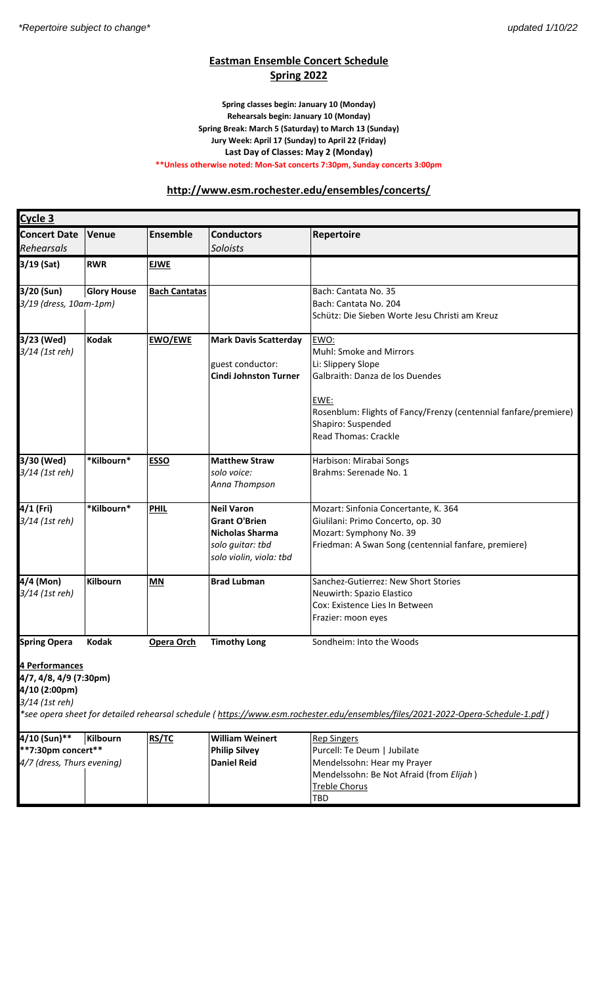# **Eastman Ensemble Concert Schedule Spring 2022**

#### **Spring classes begin: January 10 (Monday) Rehearsals begin: January 10 (Monday) Spring Break: March 5 (Saturday) to March 13 (Sunday) Jury Week: April 17 (Sunday) to April 22 (Friday) Last Day of Classes: May 2 (Monday) \*\*Unless otherwise noted: Mon-Sat concerts 7:30pm, Sunday concerts 3:00pm**

## **http://www.esm.rochester.edu/ensembles/concerts/**

| Cycle 3                                          |                    |                      |                              |                                                                                                                                 |  |
|--------------------------------------------------|--------------------|----------------------|------------------------------|---------------------------------------------------------------------------------------------------------------------------------|--|
| <b>Concert Date</b>                              | <b>Venue</b>       | <b>Ensemble</b>      | <b>Conductors</b>            | Repertoire                                                                                                                      |  |
| Rehearsals                                       |                    |                      | <b>Soloists</b>              |                                                                                                                                 |  |
| 3/19 (Sat)                                       | <b>RWR</b>         | <b>EJWE</b>          |                              |                                                                                                                                 |  |
| 3/20 (Sun)                                       | <b>Glory House</b> | <b>Bach Cantatas</b> |                              | Bach: Cantata No. 35                                                                                                            |  |
| 3/19 (dress, 10am-1pm)                           |                    |                      |                              | Bach: Cantata No. 204                                                                                                           |  |
|                                                  |                    |                      |                              | Schütz: Die Sieben Worte Jesu Christi am Kreuz                                                                                  |  |
| 3/23 (Wed)                                       | <b>Kodak</b>       | <b>EWO/EWE</b>       | <b>Mark Davis Scatterday</b> | EWO:                                                                                                                            |  |
| 3/14 (1st reh)                                   |                    |                      |                              | Muhl: Smoke and Mirrors                                                                                                         |  |
|                                                  |                    |                      | guest conductor:             | Li: Slippery Slope                                                                                                              |  |
|                                                  |                    |                      | <b>Cindi Johnston Turner</b> | Galbraith: Danza de los Duendes                                                                                                 |  |
|                                                  |                    |                      |                              | EWE:<br>Rosenblum: Flights of Fancy/Frenzy (centennial fanfare/premiere)<br>Shapiro: Suspended<br><b>Read Thomas: Crackle</b>   |  |
| 3/30 (Wed)                                       | *Kilbourn*         | <b>ESSO</b>          | <b>Matthew Straw</b>         | Harbison: Mirabai Songs                                                                                                         |  |
| 3/14 (1st reh)                                   |                    |                      | solo voice:                  | Brahms: Serenade No. 1                                                                                                          |  |
|                                                  |                    |                      | Anna Thompson                |                                                                                                                                 |  |
| 4/1 (Fri)                                        | *Kilbourn*         | <b>PHIL</b>          | <b>Neil Varon</b>            | Mozart: Sinfonia Concertante, K. 364                                                                                            |  |
| 3/14 (1st reh)                                   |                    |                      | <b>Grant O'Brien</b>         | Giulilani: Primo Concerto, op. 30                                                                                               |  |
|                                                  |                    |                      | Nicholas Sharma              | Mozart: Symphony No. 39                                                                                                         |  |
|                                                  |                    |                      | solo guitar: tbd             | Friedman: A Swan Song (centennial fanfare, premiere)                                                                            |  |
|                                                  |                    |                      | solo violin, viola: tbd      |                                                                                                                                 |  |
| 4/4 (Mon)                                        | Kilbourn           | <b>MN</b>            | <b>Brad Lubman</b>           | Sanchez-Gutierrez: New Short Stories                                                                                            |  |
| 3/14 (1st reh)                                   |                    |                      |                              | Neuwirth: Spazio Elastico                                                                                                       |  |
|                                                  |                    |                      |                              | Cox: Existence Lies In Between                                                                                                  |  |
|                                                  |                    |                      |                              | Frazier: moon eyes                                                                                                              |  |
| <b>Spring Opera</b>                              | <b>Kodak</b>       | Opera Orch           | <b>Timothy Long</b>          | Sondheim: Into the Woods                                                                                                        |  |
| 4 Performances                                   |                    |                      |                              |                                                                                                                                 |  |
| 4/7, 4/8, 4/9 (7:30pm)                           |                    |                      |                              |                                                                                                                                 |  |
| 4/10 (2:00pm)                                    |                    |                      |                              |                                                                                                                                 |  |
| 3/14 (1st reh)                                   |                    |                      |                              |                                                                                                                                 |  |
|                                                  |                    |                      |                              | *see opera sheet for detailed rehearsal schedule (https://www.esm.rochester.edu/ensembles/files/2021-2022-Opera-Schedule-1.pdf) |  |
| 4/10 (Sun)**                                     | Kilbourn           | RS/TC                | <b>William Weinert</b>       | <b>Rep Singers</b>                                                                                                              |  |
| **7:30pm concert**                               |                    | <b>Philip Silvey</b> | Purcell: Te Deum   Jubilate  |                                                                                                                                 |  |
| 4/7 (dress, Thurs evening)<br><b>Daniel Reid</b> |                    |                      |                              | Mendelssohn: Hear my Prayer                                                                                                     |  |
|                                                  |                    |                      |                              | Mendelssohn: Be Not Afraid (from Elijah)                                                                                        |  |
|                                                  |                    |                      |                              | <b>Treble Chorus</b>                                                                                                            |  |
|                                                  |                    |                      |                              | TBD                                                                                                                             |  |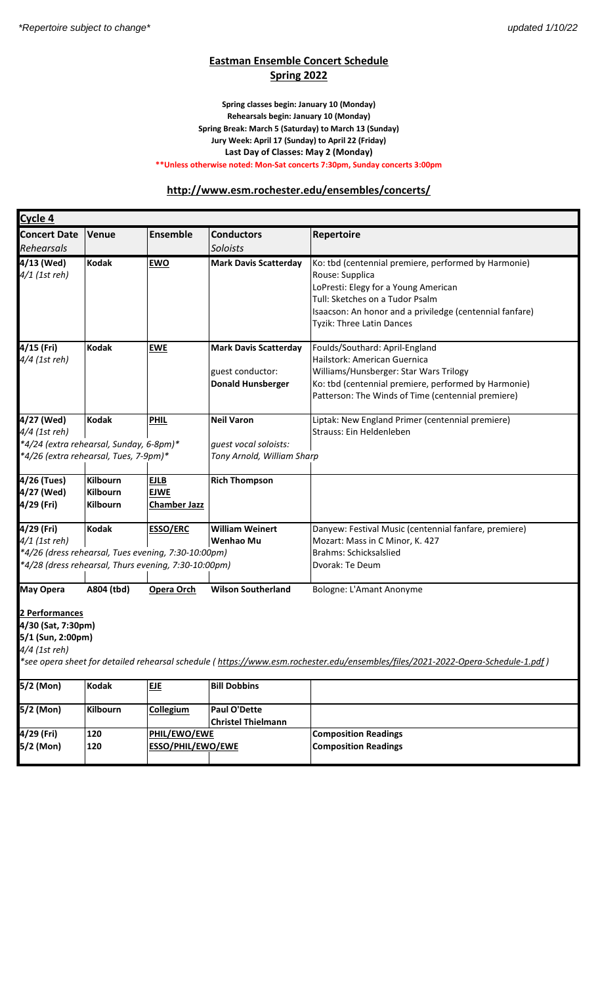# **Eastman Ensemble Concert Schedule Spring 2022**

#### **Spring Break: March 5 (Saturday) to March 13 (Sunday) Spring classes begin: January 10 (Monday) Rehearsals begin: January 10 (Monday) Jury Week: April 17 (Sunday) to April 22 (Friday) Last Day of Classes: May 2 (Monday) \*\*Unless otherwise noted: Mon-Sat concerts 7:30pm, Sunday concerts 3:00pm**

### **http://www.esm.rochester.edu/ensembles/concerts/**

| Cycle 4                                                                                                                                                                                                       |                                                       |                                                   |                                                                              |                                                                                                                                                                                                                                             |  |  |  |  |
|---------------------------------------------------------------------------------------------------------------------------------------------------------------------------------------------------------------|-------------------------------------------------------|---------------------------------------------------|------------------------------------------------------------------------------|---------------------------------------------------------------------------------------------------------------------------------------------------------------------------------------------------------------------------------------------|--|--|--|--|
| <b>Concert Date</b>                                                                                                                                                                                           | <b>Venue</b>                                          | <b>Ensemble</b>                                   | <b>Conductors</b>                                                            | Repertoire                                                                                                                                                                                                                                  |  |  |  |  |
| Rehearsals                                                                                                                                                                                                    |                                                       |                                                   | Soloists                                                                     |                                                                                                                                                                                                                                             |  |  |  |  |
| 4/13 (Wed)<br>4/1 (1st reh)                                                                                                                                                                                   | <b>Kodak</b>                                          | <b>EWO</b>                                        | <b>Mark Davis Scatterday</b>                                                 | Ko: tbd (centennial premiere, performed by Harmonie)<br>Rouse: Supplica<br>LoPresti: Elegy for a Young American<br>Tull: Sketches on a Tudor Psalm<br>Isaacson: An honor and a priviledge (centennial fanfare)<br>Tyzik: Three Latin Dances |  |  |  |  |
| 4/15 (Fri)<br>4/4 (1st reh)                                                                                                                                                                                   | <b>Kodak</b>                                          | <b>EWE</b>                                        | <b>Mark Davis Scatterday</b><br>guest conductor:<br><b>Donald Hunsberger</b> | Foulds/Southard: April-England<br>Hailstork: American Guernica<br>Williams/Hunsberger: Star Wars Trilogy<br>Ko: tbd (centennial premiere, performed by Harmonie)<br>Patterson: The Winds of Time (centennial premiere)                      |  |  |  |  |
| 4/27 (Wed)<br>4/4 (1st reh)<br>*4/24 (extra rehearsal, Sunday, 6-8pm)*<br>*4/26 (extra rehearsal, Tues, 7-9pm)*                                                                                               | <b>Kodak</b>                                          | <b>PHIL</b>                                       | <b>Neil Varon</b><br>guest vocal soloists:<br>Tony Arnold, William Sharp     | Liptak: New England Primer (centennial premiere)<br>Strauss: Ein Heldenleben                                                                                                                                                                |  |  |  |  |
| 4/26 (Tues)<br>4/27 (Wed)<br>4/29 (Fri)                                                                                                                                                                       | <b>Kilbourn</b><br><b>Kilbourn</b><br><b>Kilbourn</b> | <b>EJLB</b><br><b>EJWE</b><br><b>Chamber Jazz</b> | <b>Rich Thompson</b>                                                         |                                                                                                                                                                                                                                             |  |  |  |  |
| 4/29 (Fri)<br>4/1 (1st reh)<br>*4/26 (dress rehearsal, Tues evening, 7:30-10:00pm)<br>*4/28 (dress rehearsal, Thurs evening, 7:30-10:00pm)                                                                    | <b>Kodak</b>                                          | <b>ESSO/ERC</b>                                   | <b>William Weinert</b><br><b>Wenhao Mu</b>                                   | Danyew: Festival Music (centennial fanfare, premiere)<br>Mozart: Mass in C Minor, K. 427<br><b>Brahms: Schicksalslied</b><br>Dvorak: Te Deum                                                                                                |  |  |  |  |
| <b>May Opera</b>                                                                                                                                                                                              | A804 (tbd)                                            | Opera Orch                                        | <b>Wilson Southerland</b>                                                    | Bologne: L'Amant Anonyme                                                                                                                                                                                                                    |  |  |  |  |
| 2 Performances<br>4/30 (Sat, 7:30pm)<br>5/1 (Sun, 2:00pm)<br>4/4 (1st reh)<br>*see opera sheet for detailed rehearsal schedule (https://www.esm.rochester.edu/ensembles/files/2021-2022-Opera-Schedule-1.pdf) |                                                       |                                                   |                                                                              |                                                                                                                                                                                                                                             |  |  |  |  |
| $5/2$ (Mon)                                                                                                                                                                                                   | <b>Kodak</b>                                          | ELE                                               | <b>Bill Dobbins</b>                                                          |                                                                                                                                                                                                                                             |  |  |  |  |
| 5/2 (Mon)                                                                                                                                                                                                     | Kilbourn                                              | <b>Collegium</b>                                  | <b>Paul O'Dette</b><br><b>Christel Thielmann</b>                             |                                                                                                                                                                                                                                             |  |  |  |  |
| 4/29 (Fri)                                                                                                                                                                                                    | 120                                                   | PHIL/EWO/EWE                                      |                                                                              | <b>Composition Readings</b>                                                                                                                                                                                                                 |  |  |  |  |
| 5/2 (Mon)                                                                                                                                                                                                     | 120                                                   | ESSO/PHIL/EWO/EWE                                 |                                                                              | <b>Composition Readings</b>                                                                                                                                                                                                                 |  |  |  |  |